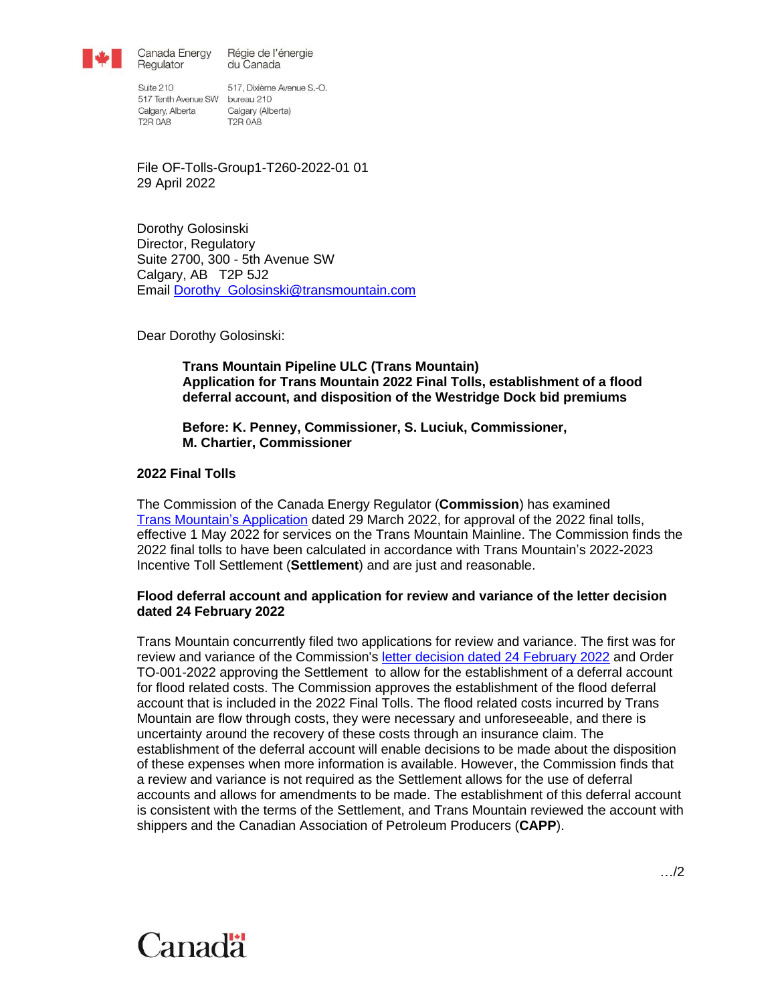

Canada Energy Régie de l'énergie du Canada

Suite 210 517 Tenth Avenue SW bureau 210 Calgary, Alberta Calgary (Alberta) **T2R 0A8** 

Regulator

517, Dixième Avenue S.-O. **T2R 0A8** 

File OF-Tolls-Group1-T260-2022-01 01 29 April 2022

Dorothy Golosinski Director, Regulatory Suite 2700, 300 - 5th Avenue SW Calgary, AB T2P 5J2 Email [Dorothy\\_Golosinski@transmountain.com](mailto:Dorothy_Golosinski@transmountain.com)

Dear Dorothy Golosinski:

**Trans Mountain Pipeline ULC (Trans Mountain) Application for Trans Mountain 2022 Final Tolls, establishment of a flood deferral account, and disposition of the Westridge Dock bid premiums**

### **Before: K. Penney, Commissioner, S. Luciuk, Commissioner, M. Chartier, Commissioner**

## **2022 Final Tolls**

The Commission of the Canada Energy Regulator (**Commission**) has examined Trans [Mountain's Application](https://apps.cer-rec.gc.ca/REGDOCS/Item/View/4239815) dated 29 March 2022, for approval of the 2022 final tolls, effective 1 May 2022 for services on the Trans Mountain Mainline. The Commission finds the 2022 final tolls to have been calculated in accordance with Trans Mountain's 2022-2023 Incentive Toll Settlement (**Settlement**) and are just and reasonable.

### **Flood deferral account and application for review and variance of the letter decision dated 24 February 2022**

Trans Mountain concurrently filed two applications for review and variance. The first was for review and variance of the Commission's letter [decision dated 24 February 2022](https://apps.cer-rec.gc.ca/REGDOCS/Item/View/4205581) and Order TO-001-2022 approving the Settlement to allow for the establishment of a deferral account for flood related costs. The Commission approves the establishment of the flood deferral account that is included in the 2022 Final Tolls. The flood related costs incurred by Trans Mountain are flow through costs, they were necessary and unforeseeable, and there is uncertainty around the recovery of these costs through an insurance claim. The establishment of the deferral account will enable decisions to be made about the disposition of these expenses when more information is available. However, the Commission finds that a review and variance is not required as the Settlement allows for the use of deferral accounts and allows for amendments to be made. The establishment of this deferral account is consistent with the terms of the Settlement, and Trans Mountain reviewed the account with shippers and the Canadian Association of Petroleum Producers (**CAPP**).

# Canadä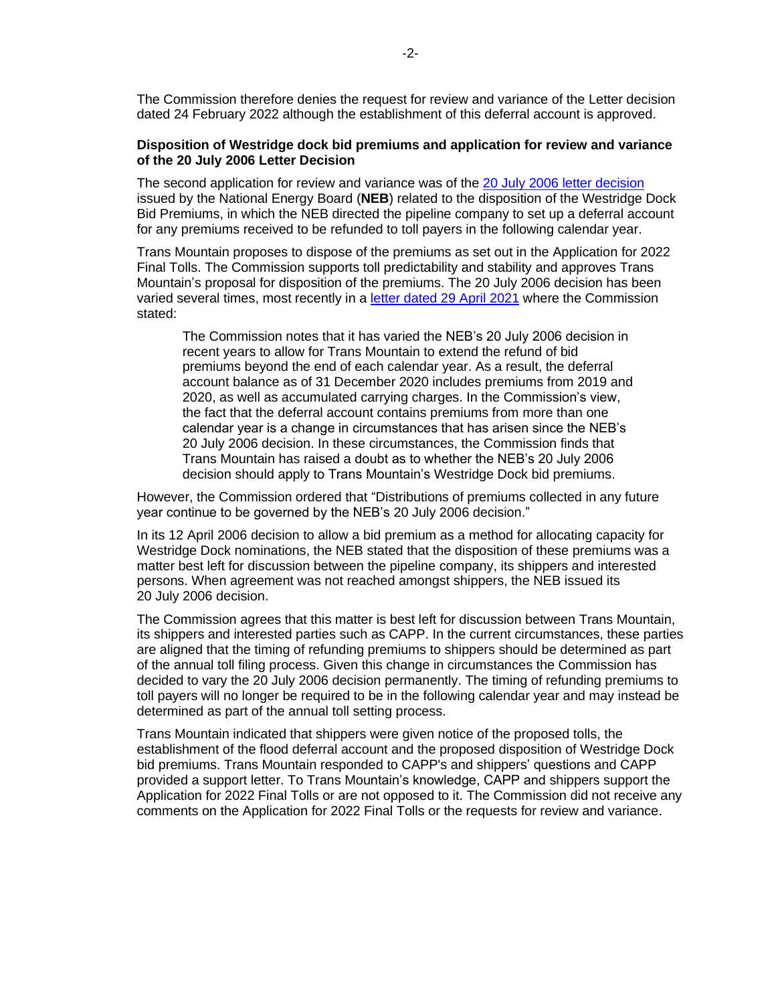The Commission therefore denies the request for review and variance of the Letter decision dated 24 February 2022 although the establishment of this deferral account is approved.

#### **Disposition of Westridge dock bid premiums and application for review and variance of the 20 July 2006 Letter Decision**

The second application for review and variance was of the 20 [July 2006 letter decision](https://apps.cer-rec.gc.ca/REGDOCS/Item/View/419236) issued by the National Energy Board (**NEB**) related to the disposition of the Westridge Dock Bid Premiums, in which the NEB directed the pipeline company to set up a deferral account for any premiums received to be refunded to toll payers in the following calendar year.

Trans Mountain proposes to dispose of the premiums as set out in the Application for 2022 Final Tolls. The Commission supports toll predictability and stability and approves Trans Mountain's proposal for disposition of the premiums. The 20 July 2006 decision has been varied several times, most recently in a [letter dated 29](https://apps.cer-rec.gc.ca/REGDOCS/File/Download/4091886) April 2021 where the Commission stated:

The Commission notes that it has varied the NEB's 20 July 2006 decision in recent years to allow for Trans Mountain to extend the refund of bid premiums beyond the end of each calendar year. As a result, the deferral account balance as of 31 December 2020 includes premiums from 2019 and 2020, as well as accumulated carrying charges. In the Commission's view, the fact that the deferral account contains premiums from more than one calendar year is a change in circumstances that has arisen since the NEB's 20 July 2006 decision. In these circumstances, the Commission finds that Trans Mountain has raised a doubt as to whether the NEB's 20 July 2006 decision should apply to Trans Mountain's Westridge Dock bid premiums.

However, the Commission ordered that "Distributions of premiums collected in any future year continue to be governed by the NEB's 20 July 2006 decision."

In its 12 April 2006 decision to allow a bid premium as a method for allocating capacity for Westridge Dock nominations, the NEB stated that the disposition of these premiums was a matter best left for discussion between the pipeline company, its shippers and interested persons. When agreement was not reached amongst shippers, the NEB issued its 20 July 2006 decision.

The Commission agrees that this matter is best left for discussion between Trans Mountain, its shippers and interested parties such as CAPP. In the current circumstances, these parties are aligned that the timing of refunding premiums to shippers should be determined as part of the annual toll filing process. Given this change in circumstances the Commission has decided to vary the 20 July 2006 decision permanently. The timing of refunding premiums to toll payers will no longer be required to be in the following calendar year and may instead be determined as part of the annual toll setting process.

Trans Mountain indicated that shippers were given notice of the proposed tolls, the establishment of the flood deferral account and the proposed disposition of Westridge Dock bid premiums. Trans Mountain responded to CAPP's and shippers' questions and CAPP provided a support letter. To Trans Mountain's knowledge, CAPP and shippers support the Application for 2022 Final Tolls or are not opposed to it. The Commission did not receive any comments on the Application for 2022 Final Tolls or the requests for review and variance.